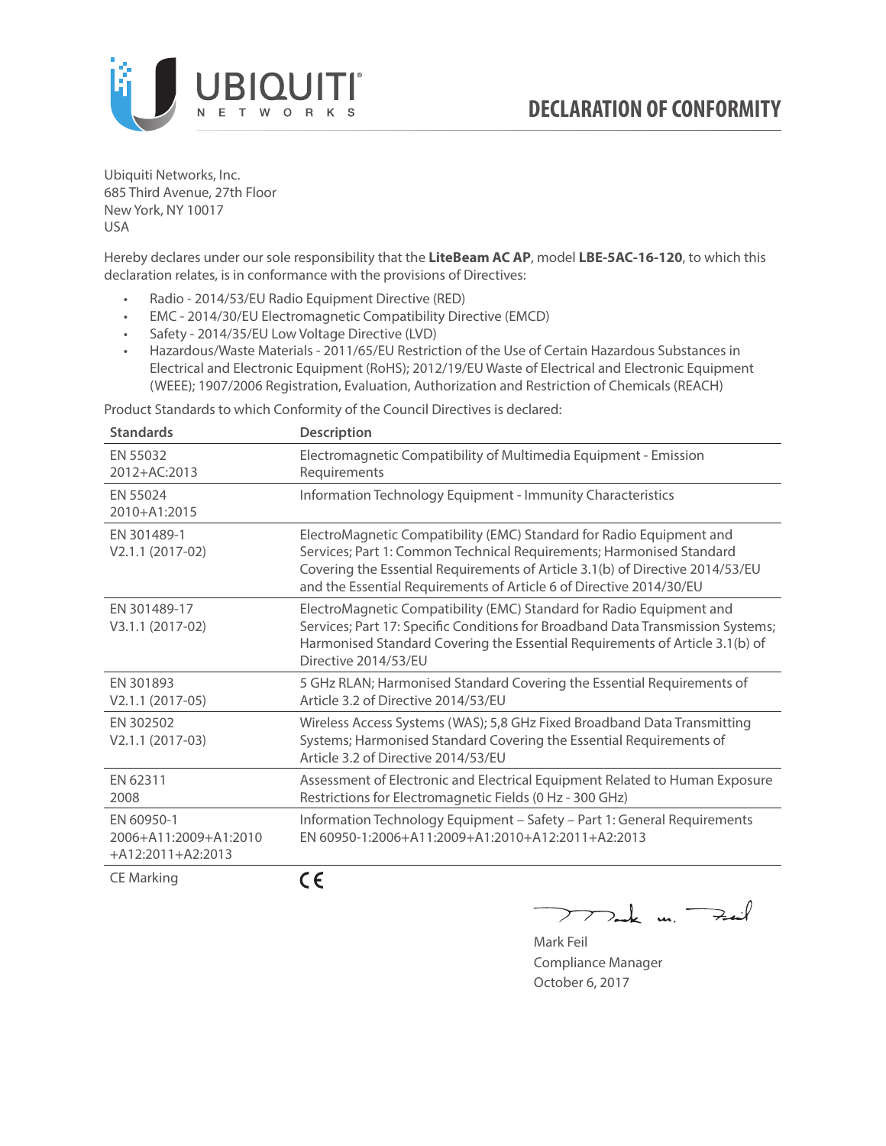

Ubiquiti Networks, Inc. 685 Third Avenue, 27th Floor New York, NY 10017 USA

Hereby declares under our sole responsibility that the **LiteBeam AC AP**, model **LBE-5AC-16-120**, to which this declaration relates, is in conformance with the provisions of Directives:

- Radio 2014/53/EU Radio Equipment Directive (RED)
- EMC 2014/30/EU Electromagnetic Compatibility Directive (EMCD)
- Safety 2014/35/EU Low Voltage Directive (LVD)
- Hazardous/Waste Materials 2011/65/EU Restriction of the Use of Certain Hazardous Substances in Electrical and Electronic Equipment (RoHS); 2012/19/EU Waste of Electrical and Electronic Equipment (WEEE); 1907/2006 Registration, Evaluation, Authorization and Restriction of Chemicals (REACH)

Product Standards to which Conformity of the Council Directives is declared:

| <b>Standards</b>                                           | <b>Description</b>                                                                                                                                                                                                                                                                                   |
|------------------------------------------------------------|------------------------------------------------------------------------------------------------------------------------------------------------------------------------------------------------------------------------------------------------------------------------------------------------------|
| EN 55032<br>2012+AC:2013                                   | Electromagnetic Compatibility of Multimedia Equipment - Emission<br>Requirements                                                                                                                                                                                                                     |
| EN 55024<br>2010+A1:2015                                   | Information Technology Equipment - Immunity Characteristics                                                                                                                                                                                                                                          |
| EN 301489-1<br>V2.1.1 (2017-02)                            | ElectroMagnetic Compatibility (EMC) Standard for Radio Equipment and<br>Services; Part 1: Common Technical Requirements; Harmonised Standard<br>Covering the Essential Requirements of Article 3.1(b) of Directive 2014/53/EU<br>and the Essential Requirements of Article 6 of Directive 2014/30/EU |
| EN 301489-17<br>V3.1.1 (2017-02)                           | ElectroMagnetic Compatibility (EMC) Standard for Radio Equipment and<br>Services; Part 17: Specific Conditions for Broadband Data Transmission Systems;<br>Harmonised Standard Covering the Essential Requirements of Article 3.1(b) of<br>Directive 2014/53/EU                                      |
| EN 301893<br>$V2.1.1 (2017-05)$                            | 5 GHz RLAN; Harmonised Standard Covering the Essential Requirements of<br>Article 3.2 of Directive 2014/53/EU                                                                                                                                                                                        |
| EN 302502<br>V2.1.1 (2017-03)                              | Wireless Access Systems (WAS); 5,8 GHz Fixed Broadband Data Transmitting<br>Systems; Harmonised Standard Covering the Essential Requirements of<br>Article 3.2 of Directive 2014/53/EU                                                                                                               |
| EN 62311<br>2008                                           | Assessment of Electronic and Electrical Equipment Related to Human Exposure<br>Restrictions for Electromagnetic Fields (0 Hz - 300 GHz)                                                                                                                                                              |
| EN 60950-1<br>2006+A11:2009+A1:2010<br>$+A12:2011+A2:2013$ | Information Technology Equipment - Safety - Part 1: General Requirements<br>EN 60950-1:2006+A11:2009+A1:2010+A12:2011+A2:2013                                                                                                                                                                        |
| <b>CE Marking</b>                                          | CE                                                                                                                                                                                                                                                                                                   |

C E

 $\sum$  de un Fail

Mark Feil Compliance Manager October 6, 2017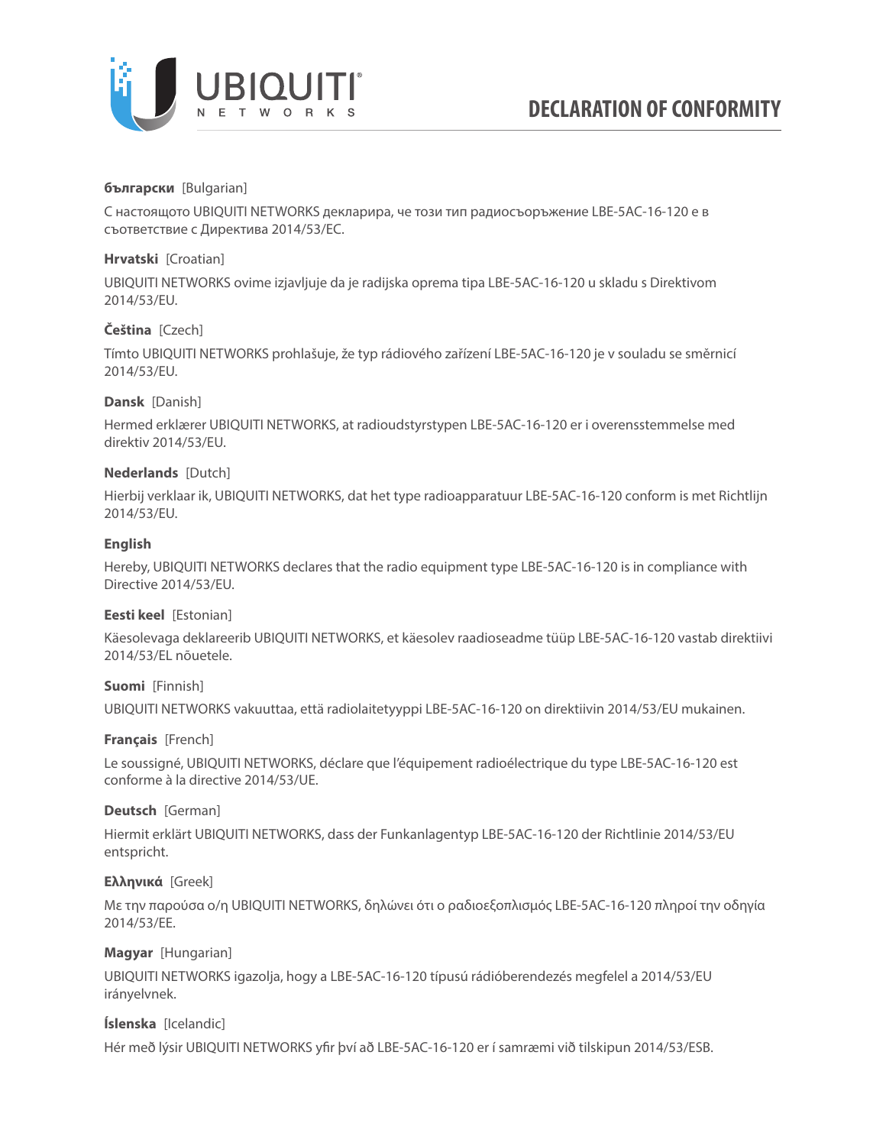

## **български** [Bulgarian]

С настоящото UBIQUITI NETWORKS декларира, че този тип радиосъоръжение LBE-5AC-16-120 е в съответствие с Директива 2014/53/ЕС.

## **Hrvatski** [Croatian]

UBIQUITI NETWORKS ovime izjavljuje da je radijska oprema tipa LBE-5AC-16-120 u skladu s Direktivom 2014/53/EU.

# **Čeština** [Czech]

Tímto UBIQUITI NETWORKS prohlašuje, že typ rádiového zařízení LBE-5AC-16-120 je v souladu se směrnicí 2014/53/EU.

### **Dansk** [Danish]

Hermed erklærer UBIQUITI NETWORKS, at radioudstyrstypen LBE-5AC-16-120 er i overensstemmelse med direktiv 2014/53/EU.

### **Nederlands** [Dutch]

Hierbij verklaar ik, UBIQUITI NETWORKS, dat het type radioapparatuur LBE-5AC-16-120 conform is met Richtlijn 2014/53/EU.

# **English**

Hereby, UBIQUITI NETWORKS declares that the radio equipment type LBE-5AC-16-120 is in compliance with Directive 2014/53/EU.

### **Eesti keel** [Estonian]

Käesolevaga deklareerib UBIQUITI NETWORKS, et käesolev raadioseadme tüüp LBE-5AC-16-120 vastab direktiivi 2014/53/EL nõuetele.

### **Suomi** [Finnish]

UBIQUITI NETWORKS vakuuttaa, että radiolaitetyyppi LBE-5AC-16-120 on direktiivin 2014/53/EU mukainen.

### **Français** [French]

Le soussigné, UBIQUITI NETWORKS, déclare que l'équipement radioélectrique du type LBE-5AC-16-120 est conforme à la directive 2014/53/UE.

### **Deutsch** [German]

Hiermit erklärt UBIQUITI NETWORKS, dass der Funkanlagentyp LBE-5AC-16-120 der Richtlinie 2014/53/EU entspricht.

### **Ελληνικά** [Greek]

Με την παρούσα ο/η UBIQUITI NETWORKS, δηλώνει ότι ο ραδιοεξοπλισμός LBE-5AC-16-120 πληροί την οδηγία 2014/53/ΕΕ.

### **Magyar** [Hungarian]

UBIQUITI NETWORKS igazolja, hogy a LBE-5AC-16-120 típusú rádióberendezés megfelel a 2014/53/EU irányelvnek.

### **Íslenska** [Icelandic]

Hér með lýsir UBIQUITI NETWORKS yfir því að LBE-5AC-16-120 er í samræmi við tilskipun 2014/53/ESB.